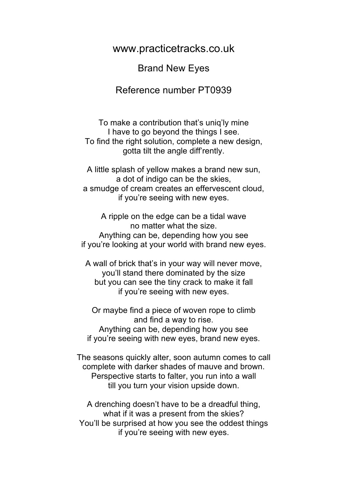www.practicetracks.co.uk

Brand New Eyes

Reference number PT0939

To make a contribution that's uniq'ly mine I have to go beyond the things I see. To find the right solution, complete a new design, gotta tilt the angle diff'rently.

A little splash of yellow makes a brand new sun, a dot of indigo can be the skies, a smudge of cream creates an effervescent cloud, if you're seeing with new eyes.

A ripple on the edge can be a tidal wave no matter what the size. Anything can be, depending how you see if you're looking at your world with brand new eyes.

A wall of brick that's in your way will never move, you'll stand there dominated by the size but you can see the tiny crack to make it fall if you're seeing with new eyes.

Or maybe find a piece of woven rope to climb and find a way to rise. Anything can be, depending how you see if you're seeing with new eyes, brand new eyes.

The seasons quickly alter, soon autumn comes to call complete with darker shades of mauve and brown. Perspective starts to falter, you run into a wall till you turn your vision upside down.

A drenching doesn't have to be a dreadful thing, what if it was a present from the skies? You'll be surprised at how you see the oddest things if you're seeing with new eyes.